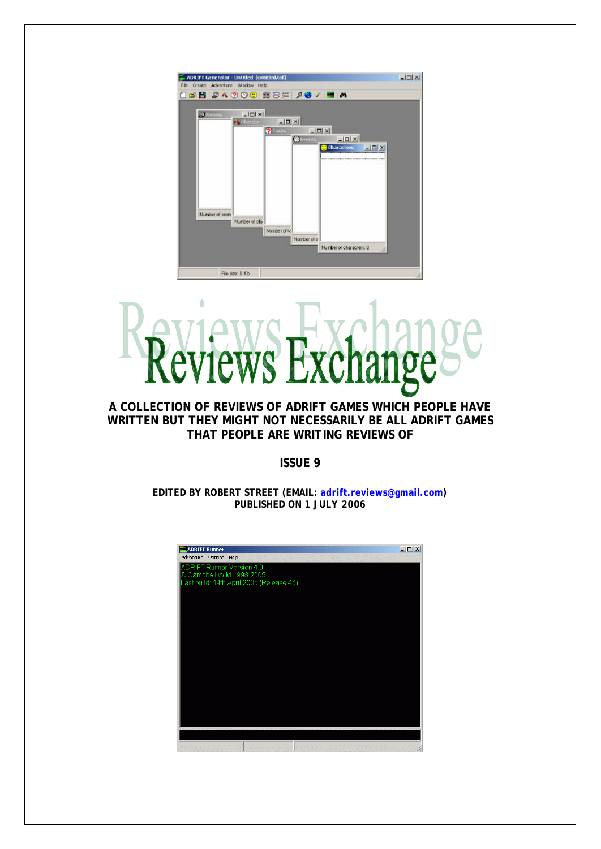

# $\ddot{\phantom{a}}$ VS

## **A COLLECTION OF REVIEWS OF ADRIFT GAMES WHICH PEOPLE HAVE WRITTEN BUT THEY MIGHT NOT NECESSARILY BE ALL ADRIFT GAMES THAT PEOPLE ARE WRITING REVIEWS OF**

**ISSUE 9**

**EDITED BY ROBERT STREET (EMAIL: adrift.reviews@gmail.com) PUBLISHED ON 1 JULY 2006**

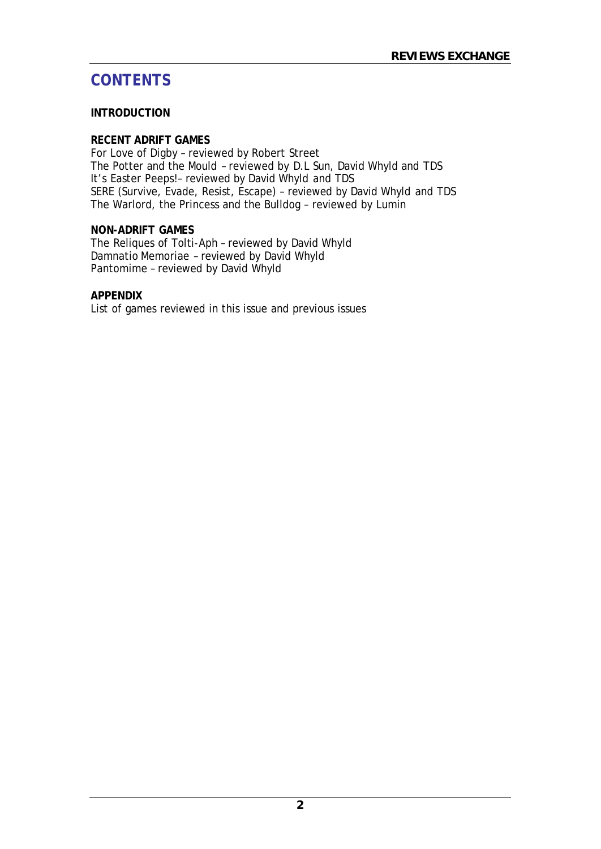# **CONTENTS**

# **INTRODUCTION**

## **RECENT ADRIFT GAMES**

For Love of Digby – reviewed by Robert Street The Potter and the Mould – reviewed by D.L Sun, David Whyld and TDS It's Easter Peeps!– reviewed by David Whyld and TDS SERE (Survive, Evade, Resist, Escape) – reviewed by David Whyld and TDS The Warlord, the Princess and the Bulldog – reviewed by Lumin

# **NON-ADRIFT GAMES**

The Reliques of Tolti-Aph – reviewed by David Whyld Damnatio Memoriae – reviewed by David Whyld Pantomime – reviewed by David Whyld

# **APPENDIX**

List of games reviewed in this issue and previous issues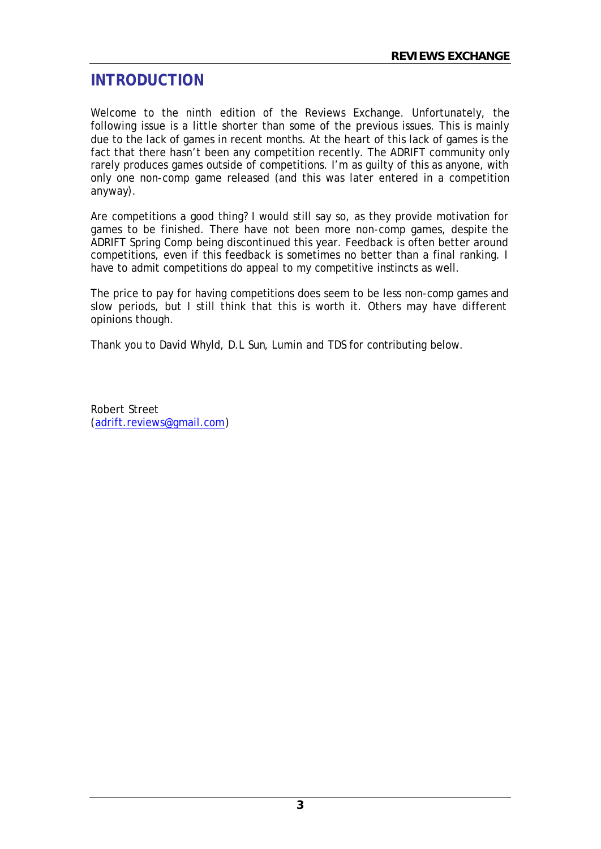# **INTRODUCTION**

Welcome to the ninth edition of the Reviews Exchange. Unfortunately, the following issue is a little shorter than some of the previous issues. This is mainly due to the lack of games in recent months. At the heart of this lack of games is the fact that there hasn't been any competition recently. The ADRIFT community only rarely produces games outside of competitions. I'm as guilty of this as anyone, with only one non-comp game released (and this was later entered in a competition anyway).

Are competitions a good thing? I would still say so, as they provide motivation for games to be finished. There have not been more non-comp games, despite the ADRIFT Spring Comp being discontinued this year. Feedback is often better around competitions, even if this feedback is sometimes no better than a final ranking. I have to admit competitions do appeal to my competitive instincts as well.

The price to pay for having competitions does seem to be less non-comp games and slow periods, but I still think that this is worth it. Others may have different opinions though.

Thank you to David Whyld, D.L Sun, Lumin and TDS for contributing below.

Robert Street (adrift.reviews@gmail.com)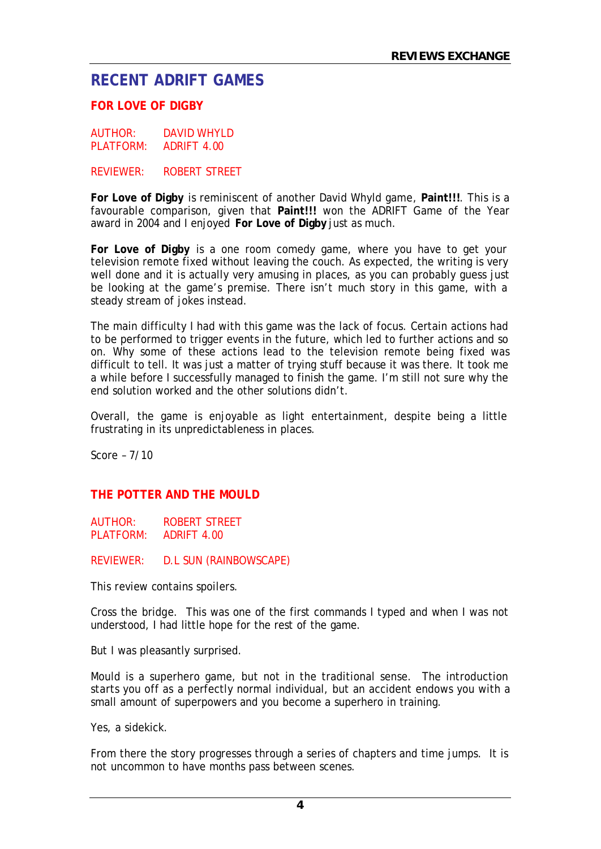# **RECENT ADRIFT GAMES**

# **FOR LOVE OF DIGBY**

AUTHOR: DAVID WHYLD PLATFORM: ADRIFT 4.00

REVIEWER: ROBERT STREET

**For Love of Digby** is reminiscent of another David Whyld game, **Paint!!!**. This is a favourable comparison, given that **Paint!!!** won the ADRIFT Game of the Year award in 2004 and I enjoyed **For Love of Digby** just as much.

**For Love of Digby** is a one room comedy game, where you have to get your television remote fixed without leaving the couch. As expected, the writing is very well done and it is actually very amusing in places, as you can probably guess just be looking at the game's premise. There isn't much story in this game, with a steady stream of jokes instead.

The main difficulty I had with this game was the lack of focus. Certain actions had to be performed to trigger events in the future, which led to further actions and so on. Why some of these actions lead to the television remote being fixed was difficult to tell. It was just a matter of trying stuff because it was there. It took me a while before I successfully managed to finish the game. I'm still not sure why the end solution worked and the other solutions didn't.

Overall, the game is enjoyable as light entertainment, despite being a little frustrating in its unpredictableness in places.

Score – 7/10

#### **THE POTTER AND THE MOULD**

AUTHOR: ROBERT STREET PLATFORM: ADRIFT 4.00

REVIEWER: D.L SUN (RAINBOWSCAPE)

*This review contains spoilers.*

Cross the bridge. This was one of the first commands I typed and when I was not understood, I had little hope for the rest of the game.

But I was pleasantly surprised.

Mould is a superhero game, but not in the traditional sense. The introduction starts you off as a perfectly normal individual, but an accident endows you with a small amount of superpowers and you become a superhero in training.

Yes, a sidekick.

From there the story progresses through a series of chapters and time jumps. It is not uncommon to have months pass between scenes.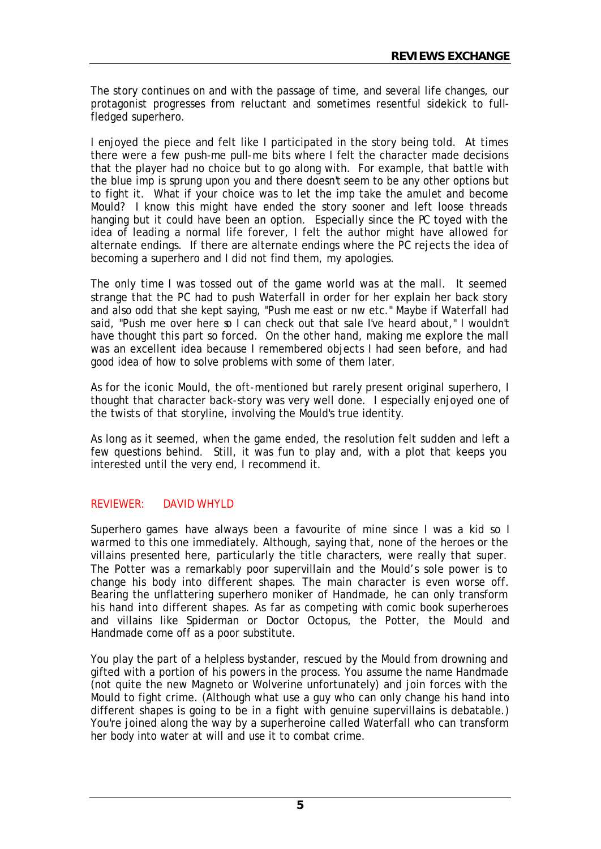The story continues on and with the passage of time, and several life changes, our protagonist progresses from reluctant and sometimes resentful sidekick to fullfledged superhero.

I enjoyed the piece and felt like I participated in the story being told. At times there were a few push-me pull-me bits where I felt the character made decisions that the player had no choice but to go along with. For example, that battle with the blue imp is sprung upon you and there doesn't seem to be any other options but to fight it. What if your choice was to let the imp take the amulet and become Mould? I know this might have ended the story sooner and left loose threads hanging but it could have been an option. Especially since the PC toyed with the idea of leading a normal life forever, I felt the author might have allowed for alternate endings. If there are alternate endings where the PC rejects the idea of becoming a superhero and I did not find them, my apologies.

The only time I was tossed out of the game world was at the mall. It seemed strange that the PC had to push Waterfall in order for her explain her back story and also odd that she kept saying, "Push me east or nw etc." Maybe if Waterfall had said, "Push me over here so I can check out that sale I've heard about," I wouldn't have thought this part so forced. On the other hand, making me explore the mall was an excellent idea because I remembered objects I had seen before, and had good idea of how to solve problems with some of them later.

As for the iconic Mould, the oft-mentioned but rarely present original superhero, I thought that character back-story was very well done. I especially enjoyed one of the twists of that storyline, involving the Mould's true identity.

As long as it seemed, when the game ended, the resolution felt sudden and left a few questions behind. Still, it was fun to play and, with a plot that keeps you interested until the very end, I recommend it.

# REVIEWER: DAVID WHYLD

Superhero games have always been a favourite of mine since I was a kid so I warmed to this one immediately. Although, saying that, none of the heroes or the villains presented here, particularly the title characters, were really that super. The Potter was a remarkably poor supervillain and the Mould's sole power is to change his body into different shapes. The main character is even worse off. Bearing the unflattering superhero moniker of Handmade, he can only transform his hand into different shapes. As far as competing with comic book superheroes and villains like Spiderman or Doctor Octopus, the Potter, the Mould and Handmade come off as a poor substitute.

You play the part of a helpless bystander, rescued by the Mould from drowning and gifted with a portion of his powers in the process. You assume the name Handmade (not quite the new Magneto or Wolverine unfortunately) and join forces with the Mould to fight crime. (Although what use a guy who can only change his hand into different shapes is going to be in a fight with genuine supervillains is debatable.) You're joined along the way by a superheroine called Waterfall who can transform her body into water at will and use it to combat crime.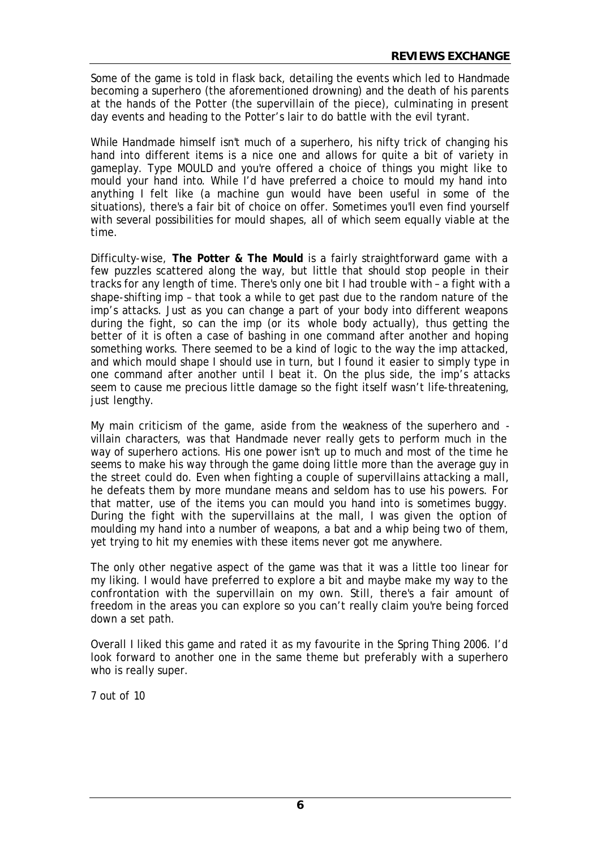Some of the game is told in flask back, detailing the events which led to Handmade becoming a superhero (the aforementioned drowning) and the death of his parents at the hands of the Potter (the supervillain of the piece), culminating in present day events and heading to the Potter's lair to do battle with the evil tyrant.

While Handmade himself isn't much of a superhero, his nifty trick of changing his hand into different items is a nice one and allows for quite a bit of variety in gameplay. Type MOULD and you're offered a choice of things you might like to mould your hand into. While I'd have preferred a choice to mould my hand into anything I felt like (a machine gun would have been useful in some of the situations), there's a fair bit of choice on offer. Sometimes you'll even find yourself with several possibilities for mould shapes, all of which seem equally viable at the time.

Difficulty-wise, **The Potter & The Mould** is a fairly straightforward game with a few puzzles scattered along the way, but little that should stop people in their tracks for any length of time. There's only one bit I had trouble with – a fight with a shape-shifting imp – that took a while to get past due to the random nature of the imp's attacks. Just as you can change a part of your body into different weapons during the fight, so can the imp (or its whole body actually), thus getting the better of it is often a case of bashing in one command after another and hoping something works. There seemed to be a kind of logic to the way the imp attacked, and which mould shape I should use in turn, but I found it easier to simply type in one command after another until I beat it. On the plus side, the imp's attacks seem to cause me precious little damage so the fight itself wasn't life-threatening, just lengthy.

My main criticism of the game, aside from the weakness of the superhero and villain characters, was that Handmade never really gets to perform much in the way of superhero actions. His one power isn't up to much and most of the time he seems to make his way through the game doing little more than the average guy in the street could do. Even when fighting a couple of supervillains attacking a mall, he defeats them by more mundane means and seldom has to use his powers. For that matter, use of the items you can mould you hand into is sometimes buggy. During the fight with the supervillains at the mall, I was given the option of moulding my hand into a number of weapons, a bat and a whip being two of them, yet trying to hit my enemies with these items never got me anywhere.

The only other negative aspect of the game was that it was a little too linear for my liking. I would have preferred to explore a bit and maybe make my way to the confrontation with the supervillain on my own. Still, there's a fair amount of freedom in the areas you can explore so you can't really claim you're being forced down a set path.

Overall I liked this game and rated it as my favourite in the Spring Thing 2006. I'd look forward to another one in the same theme but preferably with a superhero who is really super.

7 out of 10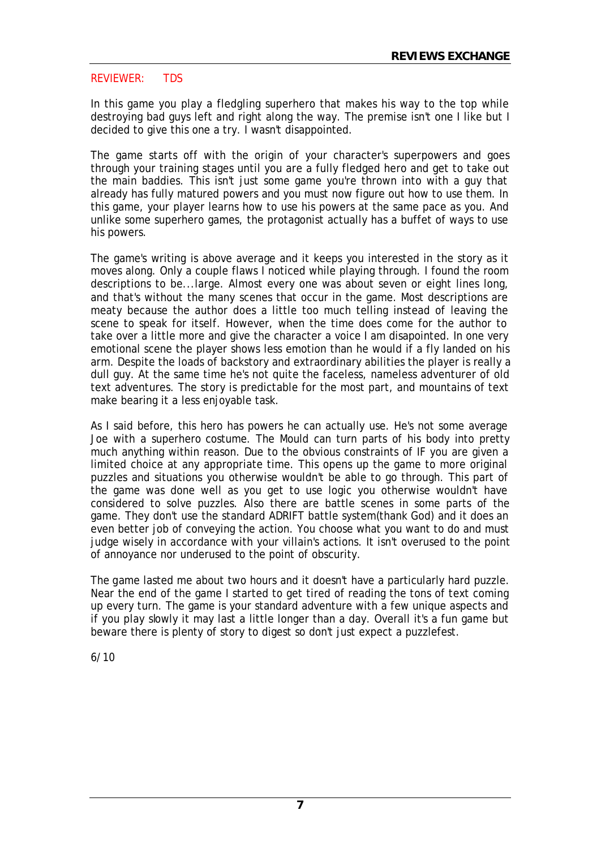#### REVIEWER: TDS

In this game you play a fledgling superhero that makes his way to the top while destroying bad guys left and right along the way. The premise isn't one I like but I decided to give this one a try. I wasn't disappointed.

The game starts off with the origin of your character's superpowers and goes through your training stages until you are a fully fledged hero and get to take out the main baddies. This isn't just some game you're thrown into with a guy that already has fully matured powers and you must now figure out how to use them. In this game, your player learns how to use his powers at the same pace as you. And unlike some superhero games, the protagonist actually has a buffet of ways to use his powers.

The game's writing is above average and it keeps you interested in the story as it moves along. Only a couple flaws I noticed while playing through. I found the room descriptions to be...large. Almost every one was about seven or eight lines long, and that's without the many scenes that occur in the game. Most descriptions are meaty because the author does a little too much telling instead of leaving the scene to speak for itself. However, when the time does come for the author to take over a little more and give the character a voice I am disapointed. In one very emotional scene the player shows less emotion than he would if a fly landed on his arm. Despite the loads of backstory and extraordinary abilities the player is really a dull guy. At the same time he's not quite the faceless, nameless adventurer of old text adventures. The story is predictable for the most part, and mountains of text make bearing it a less enjoyable task.

As I said before, this hero has powers he can actually use. He's not some average Joe with a superhero costume. The Mould can turn parts of his body into pretty much anything within reason. Due to the obvious constraints of IF you are given a limited choice at any appropriate time. This opens up the game to more original puzzles and situations you otherwise wouldn't be able to go through. This part of the game was done well as you get to use logic you otherwise wouldn't have considered to solve puzzles. Also there are battle scenes in some parts of the game. They don't use the standard ADRIFT battle system(thank God) and it does an even better job of conveying the action. You choose what you want to do and must judge wisely in accordance with your villain's actions. It isn't overused to the point of annoyance nor underused to the point of obscurity.

The game lasted me about two hours and it doesn't have a particularly hard puzzle. Near the end of the game I started to get tired of reading the tons of text coming up every turn. The game is your standard adventure with a few unique aspects and if you play slowly it may last a little longer than a day. Overall it's a fun game but beware there is plenty of story to digest so don't just expect a puzzlefest.

6/10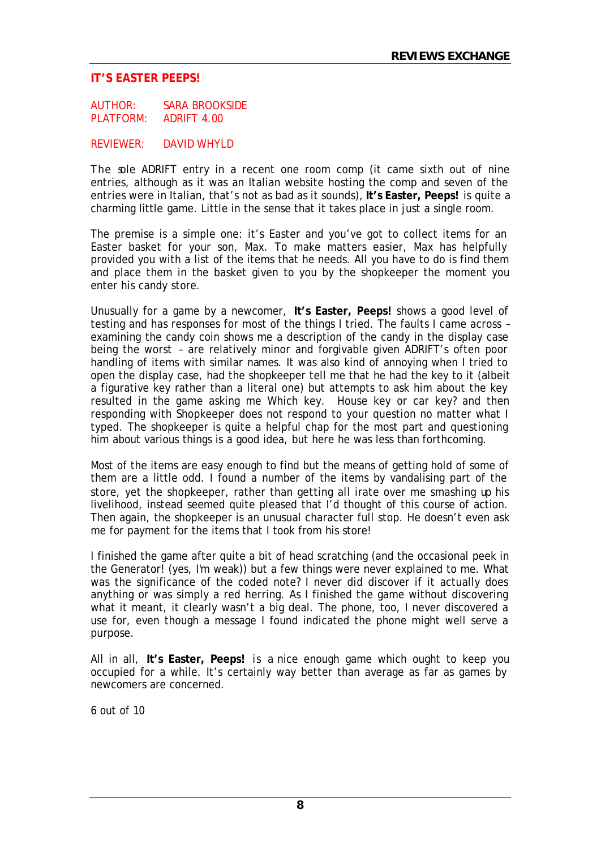#### **IT'S EASTER PEEPS!**

AUTHOR: SARA BROOKSIDE PLATFORM: ADRIFT 4.00

REVIEWER: DAVID WHYLD

The sole ADRIFT entry in a recent one room comp (it came sixth out of nine entries, although as it was an Italian website hosting the comp and seven of the entries were in Italian, that's not as bad as it sounds), **It's Easter, Peeps!** is quite a charming little game. Little in the sense that it takes place in just a single room.

The premise is a simple one: it's Easter and you've got to collect items for an Easter basket for your son, Max. To make matters easier, Max has helpfully provided you with a list of the items that he needs. All you have to do is find them and place them in the basket given to you by the shopkeeper the moment you enter his candy store.

Unusually for a game by a newcomer, **It's Easter, Peeps!** shows a good level of testing and has responses for most of the things I tried. The faults I came across – examining the candy coin shows me a description of the candy in the display case being the worst – are relatively minor and forgivable given ADRIFT's often poor handling of items with similar names. It was also kind of annoying when I tried to open the display case, had the shopkeeper tell me that he had the key to it (albeit a figurative key rather than a literal one) but attempts to ask him about the key resulted in the game asking me Which key. House key or car key? and then responding with Shopkeeper does not respond to your question no matter what I typed. The shopkeeper is quite a helpful chap for the most part and questioning him about various things is a good idea, but here he was less than forthcoming.

Most of the items are easy enough to find but the means of getting hold of some of them are a little odd. I found a number of the items by vandalising part of the store, yet the shopkeeper, rather than getting all irate over me smashing up his livelihood, instead seemed quite pleased that I'd thought of this course of action. Then again, the shopkeeper is an unusual character full stop. He doesn't even ask me for payment for the items that I took from his store!

I finished the game after quite a bit of head scratching (and the occasional peek in the Generator! (yes, I'm weak)) but a few things were never explained to me. What was the significance of the coded note? I never did discover if it actually does anything or was simply a red herring. As I finished the game without discovering what it meant, it clearly wasn't a big deal. The phone, too, I never discovered a use for, even though a message I found indicated the phone might well serve a purpose.

All in all, **It's Easter, Peeps!** is a nice enough game which ought to keep you occupied for a while. It's certainly way better than average as far as games by newcomers are concerned.

6 out of 10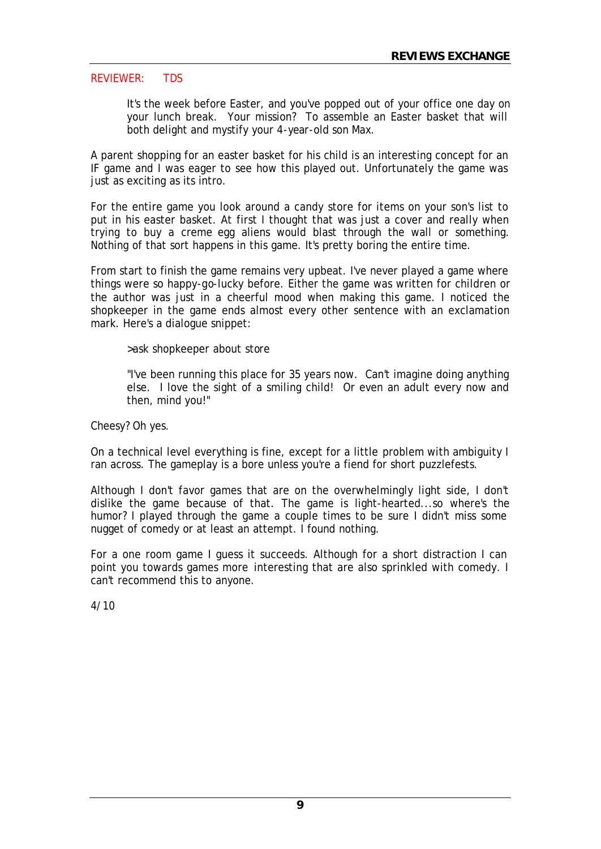#### REVIEWER: TDS

It's the week before Easter, and you've popped out of your office one day on your lunch break. Your mission? To assemble an Easter basket that will both delight and mystify your 4-year-old son Max.

A parent shopping for an easter basket for his child is an interesting concept for an IF game and I was eager to see how this played out. Unfortunately the game was just as exciting as its intro.

For the entire game you look around a candy store for items on your son's list to put in his easter basket. At first I thought that was just a cover and really when trying to buy a creme egg aliens would blast through the wall or something. Nothing of that sort happens in this game. It's pretty boring the entire time.

From start to finish the game remains very upbeat. I've never played a game where things were so happy-go-lucky before. Either the game was written for children or the author was just in a cheerful mood when making this game. I noticed the shopkeeper in the game ends almost every other sentence with an exclamation mark. Here's a dialogue snippet:

>ask shopkeeper about store

"I've been running this place for 35 years now. Can't imagine doing anything else. I love the sight of a smiling child! Or even an adult every now and then, mind you!"

Cheesy? Oh yes.

On a technical level everything is fine, except for a little problem with ambiguity I ran across. The gameplay is a bore unless you're a fiend for short puzzlefests.

Although I don't favor games that are on the overwhelmingly light side, I don't dislike the game because of that. The game is light-hearted...so where's the humor? I played through the game a couple times to be sure I didn't miss some nugget of comedy or at least an attempt. I found nothing.

For a one room game I guess it succeeds. Although for a short distraction I can point you towards games more interesting that are also sprinkled with comedy. I can't recommend this to anyone.

4/10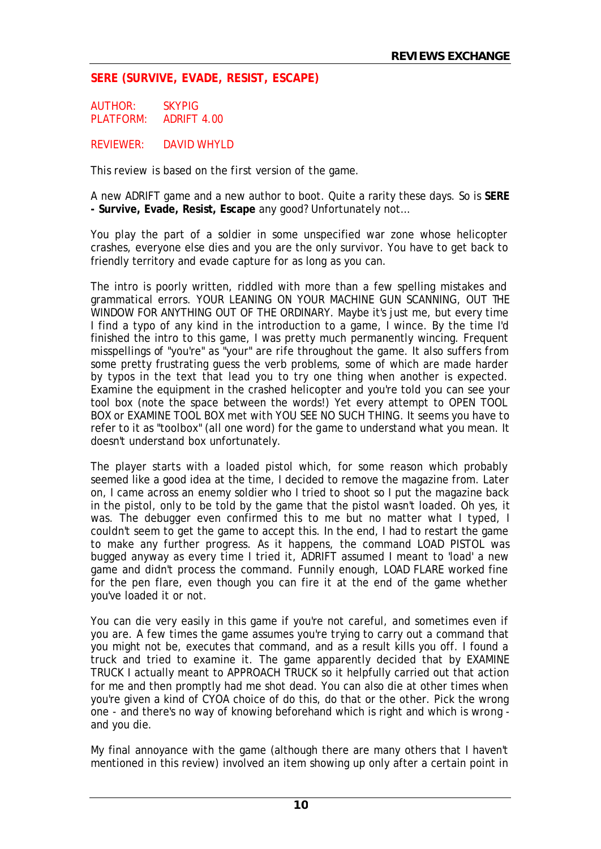# **SERE (SURVIVE, EVADE, RESIST, ESCAPE)**

AUTHOR: SKYPIG PLATFORM: ADRIFT 4.00

REVIEWER: DAVID WHYLD

*This review is based on the first version of the game.*

A new ADRIFT game and a new author to boot. Quite a rarity these days. So is **SERE - Survive, Evade, Resist, Escape** any good? Unfortunately not…

You play the part of a soldier in some unspecified war zone whose helicopter crashes, everyone else dies and you are the only survivor. You have to get back to friendly territory and evade capture for as long as you can.

The intro is poorly written, riddled with more than a few spelling mistakes and grammatical errors. YOUR LEANING ON YOUR MACHINE GUN SCANNING, OUT THE WINDOW FOR ANYTHING OUT OF THE ORDINARY. Maybe it's just me, but every time I find a typo of any kind in the introduction to a game, I wince. By the time I'd finished the intro to this game, I was pretty much permanently wincing. Frequent misspellings of "you're" as "your" are rife throughout the game. It also suffers from some pretty frustrating guess the verb problems, some of which are made harder by typos in the text that lead you to try one thing when another is expected. Examine the equipment in the crashed helicopter and you're told you can see your tool box (note the space between the words!) Yet every attempt to OPEN TOOL BOX or EXAMINE TOOL BOX met with YOU SEE NO SUCH THING. It seems you have to refer to it as "toolbox" (all one word) for the game to understand what you mean. It doesn't understand box unfortunately.

The player starts with a loaded pistol which, for some reason which probably seemed like a good idea at the time, I decided to remove the magazine from. Later on, I came across an enemy soldier who I tried to shoot so I put the magazine back in the pistol, only to be told by the game that the pistol wasn't loaded. Oh yes, it was. The debugger even confirmed this to me but no matter what I typed, I couldn't seem to get the game to accept this. In the end, I had to restart the game to make any further progress. As it happens, the command LOAD PISTOL was bugged anyway as every time I tried it, ADRIFT assumed I meant to 'load' a new game and didn't process the command. Funnily enough, LOAD FLARE worked fine for the pen flare, even though you can fire it at the end of the game whether you've loaded it or not.

You can die very easily in this game if you're not careful, and sometimes even if you are. A few times the game assumes you're trying to carry out a command that you might not be, executes that command, and as a result kills you off. I found a truck and tried to examine it. The game apparently decided that by EXAMINE TRUCK I actually meant to APPROACH TRUCK so it helpfully carried out that action for me and then promptly had me shot dead. You can also die at other times when you're given a kind of CYOA choice of do this, do that or the other. Pick the wrong one - and there's no way of knowing beforehand which is right and which is wrong and you die.

My final annoyance with the game (although there are many others that I haven't mentioned in this review) involved an item showing up only after a certain point in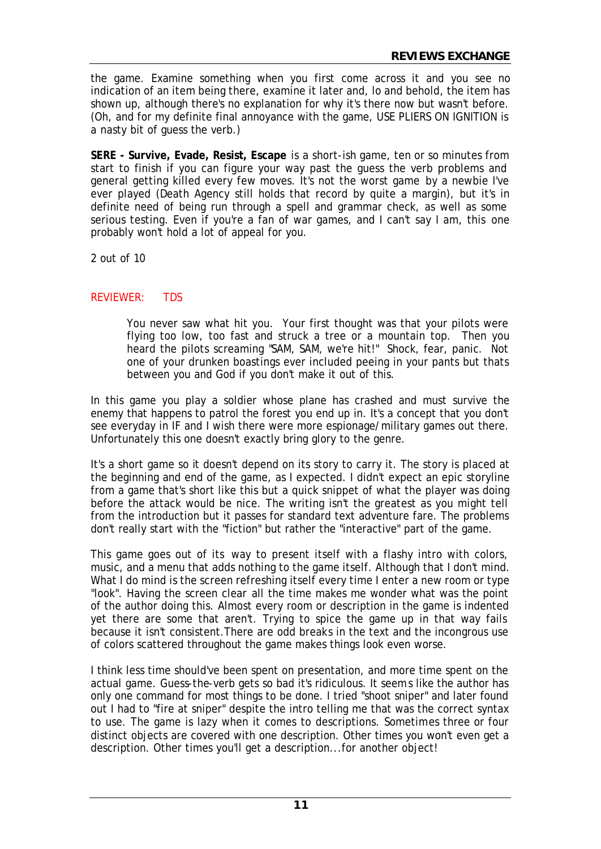the game. Examine something when you first come across it and you see no indication of an item being there, examine it later and, lo and behold, the item has shown up, although there's no explanation for why it's there now but wasn't before. (Oh, and for my definite final annoyance with the game, USE PLIERS ON IGNITION is a nasty bit of guess the verb.)

**SERE - Survive, Evade, Resist, Escape** is a short-ish game, ten or so minutes from start to finish if you can figure your way past the guess the verb problems and general getting killed every few moves. It's not the worst game by a newbie I've ever played (Death Agency still holds that record by quite a margin), but it's in definite need of being run through a spell and grammar check, as well as some serious testing. Even if you're a fan of war games, and I can't say I am, this one probably won't hold a lot of appeal for you.

2 out of 10

# REVIEWER: TDS

You never saw what hit you. Your first thought was that your pilots were flying too low, too fast and struck a tree or a mountain top. Then you heard the pilots screaming "SAM, SAM, we're hit!" Shock, fear, panic. Not one of your drunken boastings ever included peeing in your pants but thats between you and God if you don't make it out of this.

In this game you play a soldier whose plane has crashed and must survive the enemy that happens to patrol the forest you end up in. It's a concept that you don't see everyday in IF and I wish there were more espionage/military games out there. Unfortunately this one doesn't exactly bring glory to the genre.

It's a short game so it doesn't depend on its story to carry it. The story is placed at the beginning and end of the game, as I expected. I didn't expect an epic storyline from a game that's short like this but a quick snippet of what the player was doing before the attack would be nice. The writing isn't the greatest as you might tell from the introduction but it passes for standard text adventure fare. The problems don't really start with the "fiction" but rather the "interactive" part of the game.

This game goes out of its way to present itself with a flashy intro with colors, music, and a menu that adds nothing to the game itself. Although that I don't mind. What I do mind is the screen refreshing itself every time I enter a new room or type "look". Having the screen clear all the time makes me wonder what was the point of the author doing this. Almost every room or description in the game is indented yet there are some that aren't. Trying to spice the game up in that way fails because it isn't consistent.There are odd breaks in the text and the incongrous use of colors scattered throughout the game makes things look even worse.

I think less time should've been spent on presentation, and more time spent on the actual game. Guess-the-verb gets so bad it's ridiculous. It seems like the author has only one command for most things to be done. I tried "shoot sniper" and later found out I had to "fire at sniper" despite the intro telling me that was the correct syntax to use. The game is lazy when it comes to descriptions. Sometimes three or four distinct objects are covered with one description. Other times you won't even get a description. Other times you'll get a description...for another object!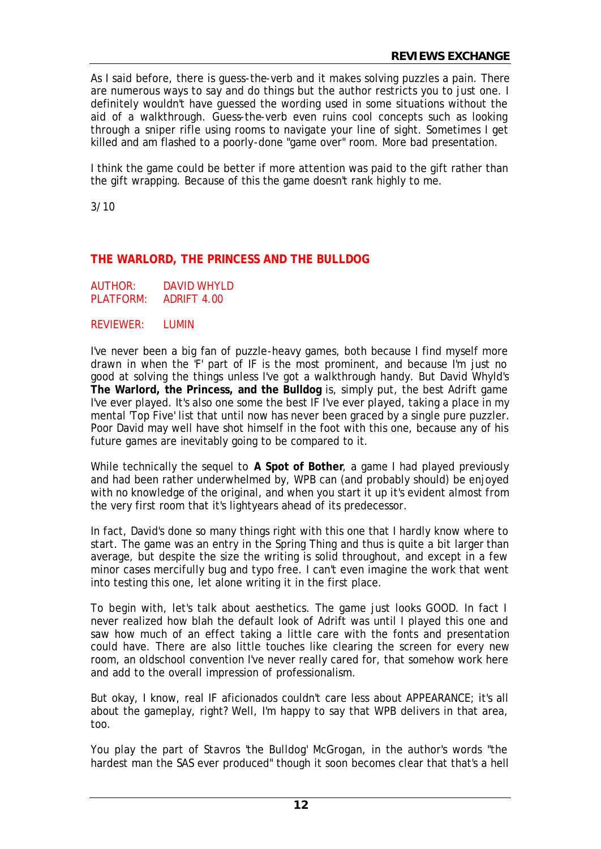As I said before, there is guess-the-verb and it makes solving puzzles a pain. There are numerous ways to say and do things but the author restricts you to just one. I definitely wouldn't have guessed the wording used in some situations without the aid of a walkthrough. Guess-the-verb even ruins cool concepts such as looking through a sniper rifle using rooms to navigate your line of sight. Sometimes I get killed and am flashed to a poorly-done "game over" room. More bad presentation.

I think the game could be better if more attention was paid to the gift rather than the gift wrapping. Because of this the game doesn't rank highly to me.

3/10

# **THE WARLORD, THE PRINCESS AND THE BULLDOG**

| AUTHOR:   | DAVID WHYLD |
|-----------|-------------|
| PLATFORM: | ADRIFT 4.00 |

#### REVIEWER: LUMIN

I've never been a big fan of puzzle-heavy games, both because I find myself more drawn in when the 'F' part of IF is the most prominent, and because I'm just no good at solving the things unless I've got a walkthrough handy. But David Whyld's **The Warlord, the Princess, and the Bulldog** is, simply put, the best Adrift game I've ever played. It's also one some the best IF I've ever played, taking a place in my mental 'Top Five' list that until now has never been graced by a single pure puzzler. Poor David may well have shot himself in the foot with this one, because any of his future games are inevitably going to be compared to it.

While technically the sequel to **A Spot of Bother**, a game I had played previously and had been rather underwhelmed by, WPB can (and probably should) be enjoyed with no knowledge of the original, and when you start it up it's evident almost from the very first room that it's lightyears ahead of its predecessor.

In fact, David's done so many things right with this one that I hardly know where to start. The game was an entry in the Spring Thing and thus is quite a bit larger than average, but despite the size the writing is solid throughout, and except in a few minor cases mercifully bug and typo free. I can't even imagine the work that went into testing this one, let alone writing it in the first place.

To begin with, let's talk about aesthetics. The game just looks GOOD. In fact I never realized how blah the default look of Adrift was until I played this one and saw how much of an effect taking a little care with the fonts and presentation could have. There are also little touches like clearing the screen for every new room, an oldschool convention I've never really cared for, that somehow work here and add to the overall impression of professionalism.

But okay, I know, real IF aficionados couldn't care less about APPEARANCE; it's all about the gameplay, right? Well, I'm happy to say that WPB delivers in that area, too.

You play the part of Stavros 'the Bulldog' McGrogan, in the author's words "the hardest man the SAS ever produced" though it soon becomes clear that that's a hell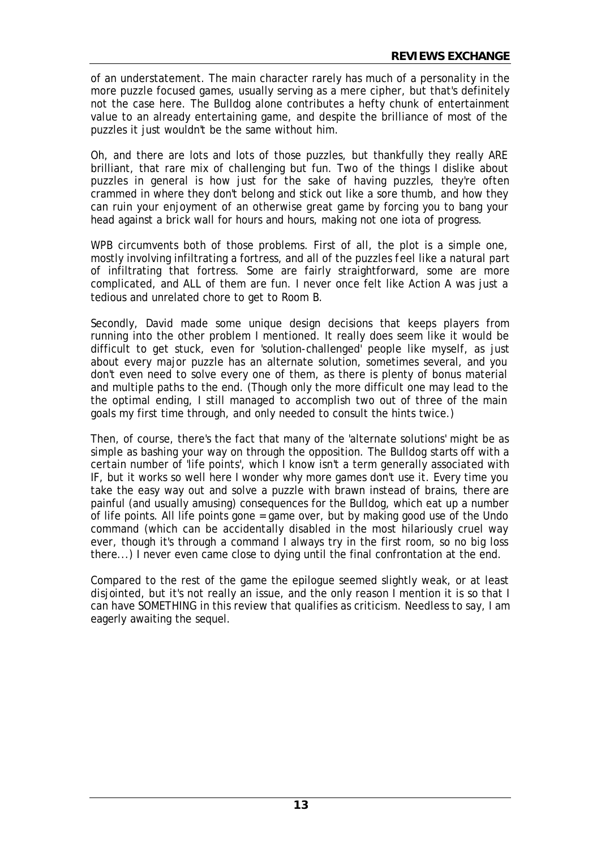of an understatement. The main character rarely has much of a personality in the more puzzle focused games, usually serving as a mere cipher, but that's definitely not the case here. The Bulldog alone contributes a hefty chunk of entertainment value to an already entertaining game, and despite the brilliance of most of the puzzles it just wouldn't be the same without him.

Oh, and there are lots and lots of those puzzles, but thankfully they really ARE brilliant, that rare mix of challenging but fun. Two of the things I dislike about puzzles in general is how just for the sake of having puzzles, they're often crammed in where they don't belong and stick out like a sore thumb, and how they can ruin your enjoyment of an otherwise great game by forcing you to bang your head against a brick wall for hours and hours, making not one iota of progress.

WPB circumvents both of those problems. First of all, the plot is a simple one, mostly involving infiltrating a fortress, and all of the puzzles feel like a natural part of infiltrating that fortress. Some are fairly straightforward, some are more complicated, and ALL of them are fun. I never once felt like Action A was just a tedious and unrelated chore to get to Room B.

Secondly, David made some unique design decisions that keeps players from running into the other problem I mentioned. It really does seem like it would be difficult to get stuck, even for 'solution-challenged' people like myself, as just about every major puzzle has an alternate solution, sometimes several, and you don't even need to solve every one of them, as there is plenty of bonus material and multiple paths to the end. (Though only the more difficult one may lead to the the optimal ending, I still managed to accomplish two out of three of the main goals my first time through, and only needed to consult the hints twice.)

Then, of course, there's the fact that many of the 'alternate solutions' might be as simple as bashing your way on through the opposition. The Bulldog starts off with a certain number of 'life points', which I know isn't a term generally associated with IF, but it works so well here I wonder why more games don't use it. Every time you take the easy way out and solve a puzzle with brawn instead of brains, there are painful (and usually amusing) consequences for the Bulldog, which eat up a number of life points. All life points gone = game over, but by making good use of the Undo command (which can be accidentally disabled in the most hilariously cruel way ever, though it's through a command I always try in the first room, so no big loss there...) I never even came close to dying until the final confrontation at the end.

Compared to the rest of the game the epilogue seemed slightly weak, or at least disjointed, but it's not really an issue, and the only reason I mention it is so that I can have SOMETHING in this review that qualifies as criticism. Needless to say, I am eagerly awaiting the sequel.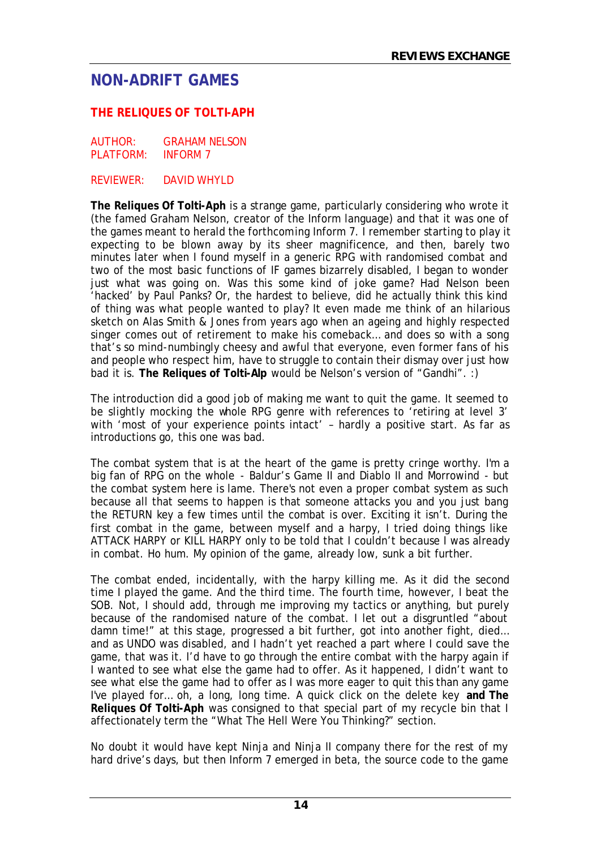# **NON-ADRIFT GAMES**

# **THE RELIQUES OF TOLTI-APH**

AUTHOR: GRAHAM NELSON PLATFORM: INFORM 7

REVIEWER: DAVID WHYLD

**The Reliques Of Tolti-Aph** is a strange game, particularly considering who wrote it (the famed Graham Nelson, creator of the Inform language) and that it was one of the games meant to herald the forthcoming Inform 7. I remember starting to play it expecting to be blown away by its sheer magnificence, and then, barely two minutes later when I found myself in a generic RPG with randomised combat and two of the most basic functions of IF games bizarrely disabled, I began to wonder just what was going on. Was this some kind of joke game? Had Nelson been 'hacked' by Paul Panks? Or, the hardest to believe, did he actually think this kind of thing was what people wanted to play? It even made me think of an hilarious sketch on Alas Smith & Jones from years ago when an ageing and highly respected singer comes out of retirement to make his comeback… and does so with a song that's so mind-numbingly cheesy and awful that everyone, even former fans of his and people who respect him, have to struggle to contain their dismay over just how bad it is. **The Reliques of Tolti-Alp** would be Nelson's version of "Gandhi". :)

The introduction did a good job of making me want to quit the game. It seemed to be slightly mocking the whole RPG genre with references to 'retiring at level 3' with 'most of your experience points intact' - hardly a positive start. As far as introductions go, this one was bad.

The combat system that is at the heart of the game is pretty cringe worthy. I'm a big fan of RPG on the whole - Baldur's Game II and Diablo II and Morrowind - but the combat system here is lame. There's not even a proper combat system as such because all that seems to happen is that someone attacks you and you just bang the RETURN key a few times until the combat is over. Exciting it isn't. During the first combat in the game, between myself and a harpy, I tried doing things like ATTACK HARPY or KILL HARPY only to be told that I couldn't because I was already in combat. Ho hum. My opinion of the game, already low, sunk a bit further.

The combat ended, incidentally, with the harpy killing me. As it did the second time I played the game. And the third time. The fourth time, however, I beat the SOB. Not, I should add, through me improving my tactics or anything, but purely because of the randomised nature of the combat. I let out a disgruntled "about damn time!" at this stage, progressed a bit further, got into another fight, died… and as UNDO was disabled, and I hadn't yet reached a part where I could save the game, that was it. I'd have to go through the entire combat with the harpy again if I wanted to see what else the game had to offer. As it happened, I didn't want to see what else the game had to offer as I was more eager to quit this than any game I've played for… oh, a long, long time. A quick click on the delete key **and The Reliques Of Tolti-Aph** was consigned to that special part of my recycle bin that I affectionately term the "What The Hell Were You Thinking?" section.

No doubt it would have kept Ninja and Ninja II company there for the rest of my hard drive's days, but then Inform 7 emerged in beta, the source code to the game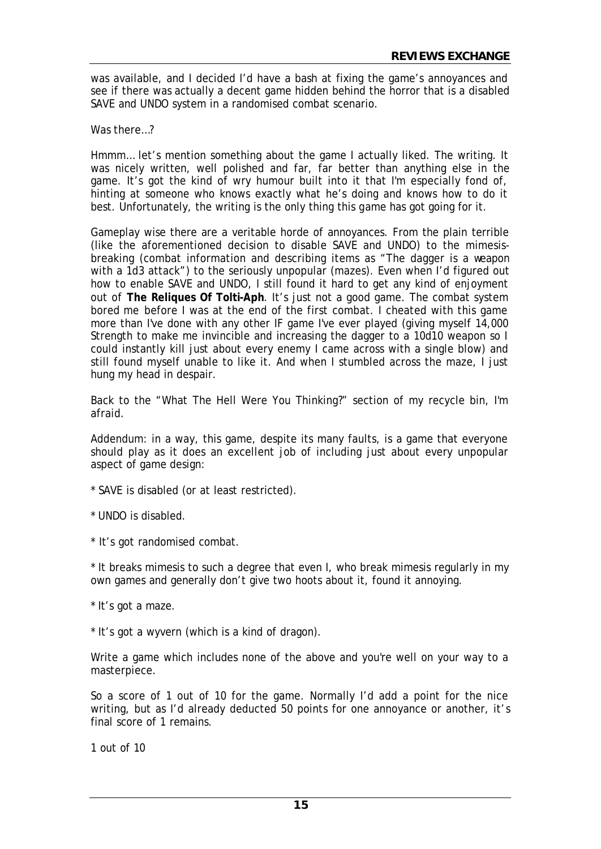was available, and I decided I'd have a bash at fixing the game's annoyances and see if there was actually a decent game hidden behind the horror that is a disabled SAVE and UNDO system in a randomised combat scenario.

Was there…?

Hmmm… let's mention something about the game I actually liked. The writing. It was nicely written, well polished and far, far better than anything else in the game. It's got the kind of wry humour built into it that I'm especially fond of, hinting at someone who knows exactly what he's doing and knows how to do it best. Unfortunately, the writing is the only thing this game has got going for it.

Gameplay wise there are a veritable horde of annoyances. From the plain terrible (like the aforementioned decision to disable SAVE and UNDO) to the mimesisbreaking (combat information and describing items as "The dagger is a weapon with a 1d3 attack") to the seriously unpopular (mazes). Even when I'd figured out how to enable SAVE and UNDO, I still found it hard to get any kind of enjoyment out of **The Reliques Of Tolti-Aph**. It's just not a good game. The combat system bored me before I was at the end of the first combat. I cheated with this game more than I've done with any other IF game I've ever played (giving myself 14,000 Strength to make me invincible and increasing the dagger to a 10d10 weapon so I could instantly kill just about every enemy I came across with a single blow) and still found myself unable to like it. And when I stumbled across the maze, I just hung my head in despair.

Back to the "What The Hell Were You Thinking?" section of my recycle bin, I'm afraid.

Addendum: in a way, this game, despite its many faults, is a game that everyone should play as it does an excellent job of including just about every unpopular aspect of game design:

\* SAVE is disabled (or at least restricted).

\* UNDO is disabled.

\* It's got randomised combat.

\* It breaks mimesis to such a degree that even I, who break mimesis regularly in my own games and generally don't give two hoots about it, found it annoying.

\* It's got a maze.

\* It's got a wyvern (which is a kind of dragon).

Write a game which includes none of the above and you're well on your way to a masterpiece.

So a score of 1 out of 10 for the game. Normally I'd add a point for the nice writing, but as I'd already deducted 50 points for one annoyance or another, it's final score of 1 remains.

1 out of 10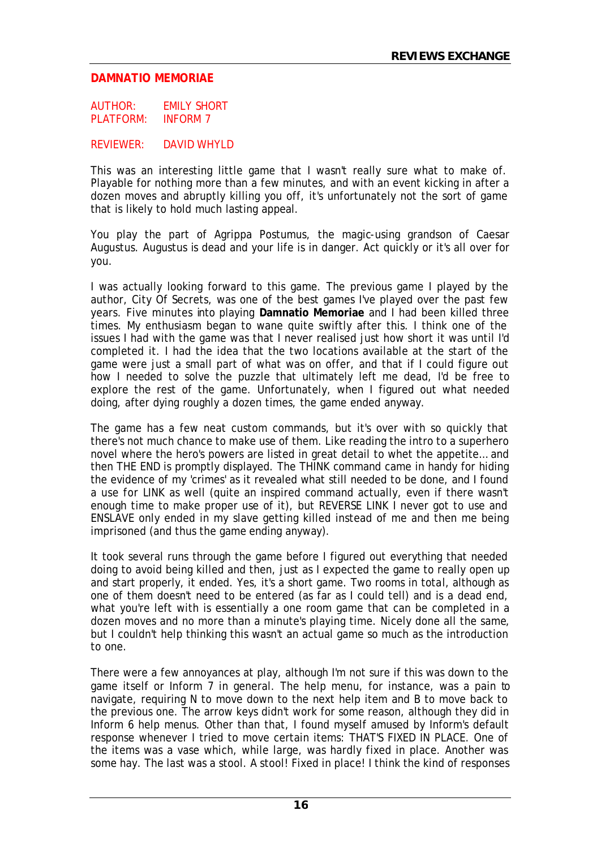#### **DAMNATIO MEMORIAE**

AUTHOR: EMILY SHORT PLATFORM: INFORM 7

REVIEWER: DAVID WHYLD

This was an interesting little game that I wasn't really sure what to make of. Playable for nothing more than a few minutes, and with an event kicking in after a dozen moves and abruptly killing you off, it's unfortunately not the sort of game that is likely to hold much lasting appeal.

You play the part of Agrippa Postumus, the magic-using grandson of Caesar Augustus. Augustus is dead and your life is in danger. Act quickly or it's all over for you.

I was actually looking forward to this game. The previous game I played by the author, City Of Secrets, was one of the best games I've played over the past few years. Five minutes into playing **Damnatio Memoriae** and I had been killed three times. My enthusiasm began to wane quite swiftly after this. I think one of the issues I had with the game was that I never realised just how short it was until I'd completed it. I had the idea that the two locations available at the start of the game were just a small part of what was on offer, and that if I could figure out how I needed to solve the puzzle that ultimately left me dead, I'd be free to explore the rest of the game. Unfortunately, when I figured out what needed doing, after dying roughly a dozen times, the game ended anyway.

The game has a few neat custom commands, but it's over with so quickly that there's not much chance to make use of them. Like reading the intro to a superhero novel where the hero's powers are listed in great detail to whet the appetite… and then THE END is promptly displayed. The THINK command came in handy for hiding the evidence of my 'crimes' as it revealed what still needed to be done, and I found a use for LINK as well (quite an inspired command actually, even if there wasn't enough time to make proper use of it), but REVERSE LINK I never got to use and ENSLAVE only ended in my slave getting killed instead of me and then me being imprisoned (and thus the game ending anyway).

It took several runs through the game before I figured out everything that needed doing to avoid being killed and then, just as I expected the game to really open up and start properly, it ended. Yes, it's a short game. Two rooms in total, although as one of them doesn't need to be entered (as far as I could tell) and is a dead end, what you're left with is essentially a one room game that can be completed in a dozen moves and no more than a minute's playing time. Nicely done all the same, but I couldn't help thinking this wasn't an actual game so much as the introduction to one.

There were a few annoyances at play, although I'm not sure if this was down to the game itself or Inform 7 in general. The help menu, for instance, was a pain to navigate, requiring N to move down to the next help item and B to move back to the previous one. The arrow keys didn't work for some reason, although they did in Inform 6 help menus. Other than that, I found myself amused by Inform's default response whenever I tried to move certain items: THAT'S FIXED IN PLACE. One of the items was a vase which, while large, was hardly fixed in place. Another was some hay. The last was a stool. A stool! Fixed in place! I think the kind of responses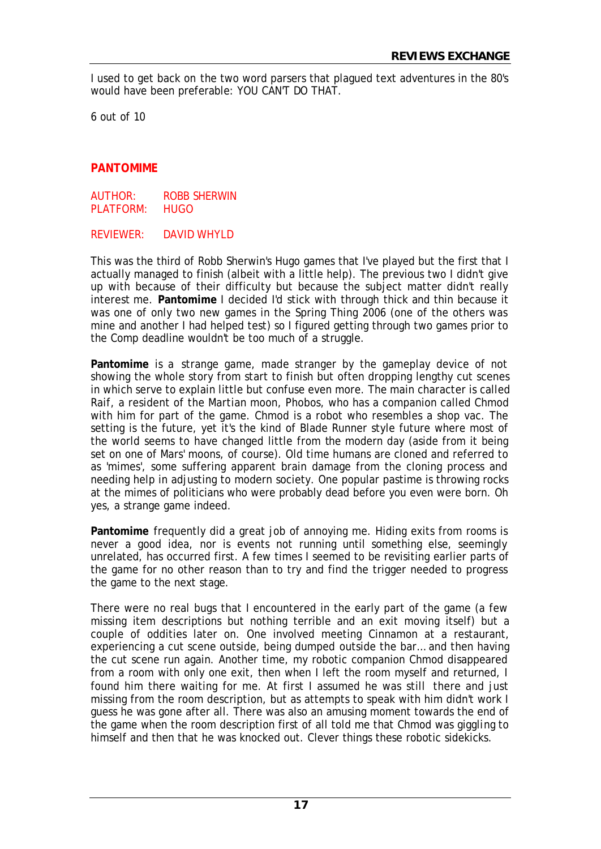I used to get back on the two word parsers that plagued text adventures in the 80's would have been preferable: YOU CAN'T DO THAT.

6 out of 10

# **PANTOMIME**

AUTHOR: ROBB SHERWIN PLATFORM: HUGO

REVIEWER: DAVID WHYLD

This was the third of Robb Sherwin's Hugo games that I've played but the first that I actually managed to finish (albeit with a little help). The previous two I didn't give up with because of their difficulty but because the subject matter didn't really interest me. **Pantomime** I decided I'd stick with through thick and thin because it was one of only two new games in the Spring Thing 2006 (one of the others was mine and another I had helped test) so I figured getting through two games prior to the Comp deadline wouldn't be too much of a struggle.

**Pantomime** is a strange game, made stranger by the gameplay device of not showing the whole story from start to finish but often dropping lengthy cut scenes in which serve to explain little but confuse even more. The main character is called Raif, a resident of the Martian moon, Phobos, who has a companion called Chmod with him for part of the game. Chmod is a robot who resembles a shop vac. The setting is the future, yet it's the kind of Blade Runner style future where most of the world seems to have changed little from the modern day (aside from it being set on one of Mars' moons, of course). Old time humans are cloned and referred to as 'mimes', some suffering apparent brain damage from the cloning process and needing help in adjusting to modern society. One popular pastime is throwing rocks at the mimes of politicians who were probably dead before you even were born. Oh yes, a strange game indeed.

**Pantomime** frequently did a great job of annoying me. Hiding exits from rooms is never a good idea, nor is events not running until something else, seemingly unrelated, has occurred first. A few times I seemed to be revisiting earlier parts of the game for no other reason than to try and find the trigger needed to progress the game to the next stage.

There were no real bugs that I encountered in the early part of the game (a few missing item descriptions but nothing terrible and an exit moving itself) but a couple of oddities later on. One involved meeting Cinnamon at a restaurant, experiencing a cut scene outside, being dumped outside the bar… and then having the cut scene run again. Another time, my robotic companion Chmod disappeared from a room with only one exit, then when I left the room myself and returned, I found him there waiting for me. At first I assumed he was still there and just missing from the room description, but as attempts to speak with him didn't work I guess he was gone after all. There was also an amusing moment towards the end of the game when the room description first of all told me that Chmod was giggling to himself and then that he was knocked out. Clever things these robotic sidekicks.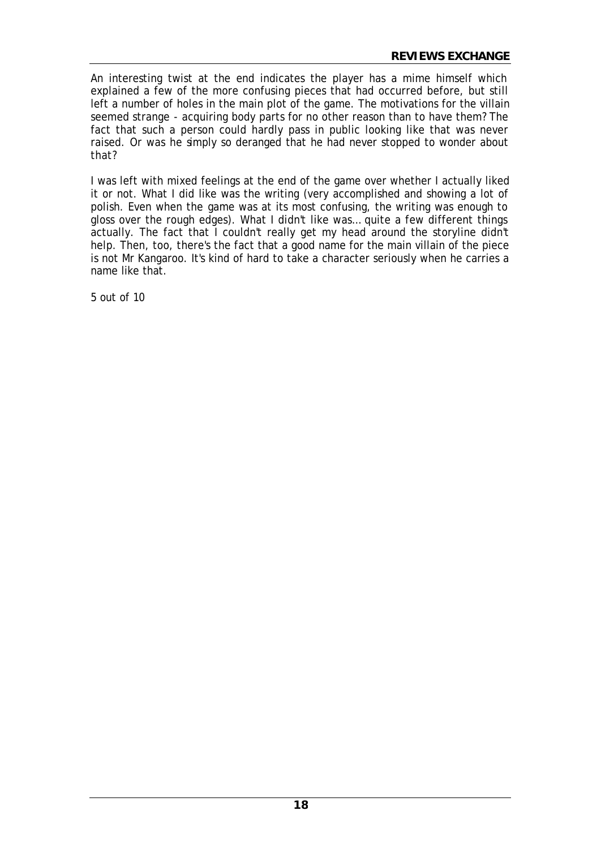An interesting twist at the end indicates the player has a mime himself which explained a few of the more confusing pieces that had occurred before, but still left a number of holes in the main plot of the game. The motivations for the villain seemed strange - acquiring body parts for no other reason than to have them? The fact that such a person could hardly pass in public looking like that was never raised. Or was he simply so deranged that he had never stopped to wonder about that?

I was left with mixed feelings at the end of the game over whether I actually liked it or not. What I did like was the writing (very accomplished and showing a lot of polish. Even when the game was at its most confusing, the writing was enough to gloss over the rough edges). What I didn't like was… quite a few different things actually. The fact that I couldn't really get my head around the storyline didn't help. Then, too, there's the fact that a good name for the main villain of the piece is not Mr Kangaroo. It's kind of hard to take a character seriously when he carries a name like that.

5 out of 10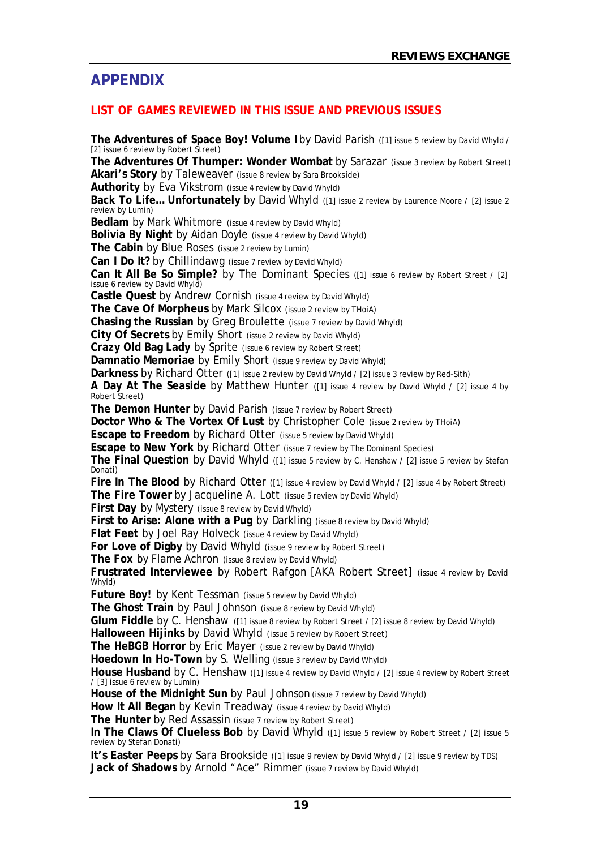# **APPENDIX**

# **LIST OF GAMES REVIEWED IN THIS ISSUE AND PREVIOUS ISSUES**

**The Adventures of Space Boy! Volume I** by David Parish ([1] issue 5 review by David Whyld / [2] issue 6 review by Robert Street) **The Adventures Of Thumper: Wonder Wombat** by Sarazar (issue 3 review by Robert Street) **Akari's Story** by Taleweaver (issue 8 review by Sara Brookside) **Authority** by Eva Vikstrom (issue 4 review by David Whyld) **Back To Life... Unfortunately** by David Whyld ([1] issue 2 review by Laurence Moore / [2] issue 2 review by Lumin) **Bedlam** by Mark Whitmore (issue 4 review by David Whyld) **Bolivia By Night** by Aidan Doyle (issue 4 review by David Whyld) **The Cabin** by Blue Roses (issue 2 review by Lumin) **Can I Do It?** by Chillindawg (issue 7 review by David Whyld) **Can It All Be So Simple?** by The Dominant Species ([1] issue 6 review by Robert Street / [2] issue 6 review by David Whyld) **Castle Quest** by Andrew Cornish (issue 4 review by David Whyld) **The Cave Of Morpheus** by Mark Silcox (issue 2 review by THoiA) **Chasing the Russian** by Greg Broulette (issue 7 review by David Whyld) **City Of Secrets** by Emily Short (issue 2 review by David Whyld) **Crazy Old Bag Lady** by Sprite (issue 6 review by Robert Street) **Damnatio Memoriae** by Emily Short (issue 9 review by David Whyld) **Darkness** by Richard Otter ([1] issue 2 review by David Whyld / [2] issue 3 review by Red-Sith) **A Day At The Seaside** by Matthew Hunter ([1] issue 4 review by David Whyld / [2] issue 4 by Robert Street) **The Demon Hunter** by David Parish (issue 7 review by Robert Street) **Doctor Who & The Vortex Of Lust** by Christopher Cole (issue 2 review by ThoiA) **Escape to Freedom** by Richard Otter (issue 5 review by David Whyld) **Escape to New York** by Richard Otter (issue 7 review by The Dominant Species) **The Final Question** by David Whyld ([1] issue 5 review by C. Henshaw / [2] issue 5 review by Stefan Donati) Fire In The Blood by Richard Otter ([1] issue 4 review by David Whyld / [2] issue 4 by Robert Street) **The Fire Tower** by Jacqueline A. Lott (issue 5 review by David Whyld) **First Day** by Mystery (issue 8 review by David Whyld) **First to Arise: Alone with a Pug by Darkling (issue 8 review by David Whyld) Flat Feet** by Joel Ray Holveck (issue 4 review by David Whyld) **For Love of Digby** by David Whyld (issue 9 review by Robert Street) **The Fox** by Flame Achron (issue 8 review by David Whyld) **Frustrated Interviewee** by Robert Rafgon [AKA Robert Street] (issue 4 review by David Whyld) **Future Boy!** by Kent Tessman (issue 5 review by David Whyld) **The Ghost Train** by Paul Johnson (issue 8 review by David Whyld) **Glum Fiddle** by C. Henshaw ([1] issue 8 review by Robert Street / [2] issue 8 review by David Whyld) **Halloween Hijinks** by David Whyld (issue 5 review by Robert Street) **The HeBGB Horror** by Eric Mayer (issue 2 review by David Whyld) **Hoedown In Ho-Town** by S. Welling (issue 3 review by David Whyld) **House Husband** by C. Henshaw ([1] issue 4 review by David Whyld / [2] issue 4 review by Robert Street / [3] issue 6 review by Lumin) **House of the Midnight Sun** by Paul Johnson (issue 7 review by David Whyld) **How It All Began** by Kevin Treadway (issue 4 review by David Whyld) **The Hunter** by Red Assassin (issue 7 review by Robert Street) **In The Claws Of Clueless Bob** by David Whyld ([1] issue 5 review by Robert Street / [2] issue 5 review by Stefan Donati)

**It's Easter Peeps** by Sara Brookside ([1] issue 9 review by David Whyld / [2] issue 9 review by TDS) **Jack of Shadows** by Arnold "Ace" Rimmer (issue 7 review by David Whyld)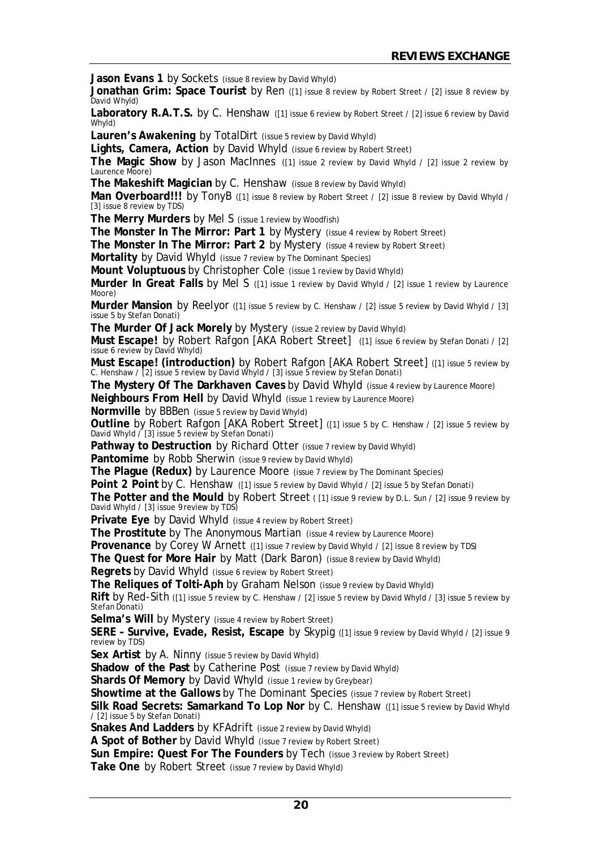**Jason Evans 1** by Sockets (issue 8 review by David Whyld)

**Jonathan Grim: Space Tourist** by Ren ([1] issue 8 review by Robert Street / [2] issue 8 review by David Whyld)

Laboratory R.A.T.S. by C. Henshaw ([1] issue 6 review by Robert Street / [2] issue 6 review by David Whyld)

**Lauren's Awakening** by TotalDirt (issue 5 review by David Whyld)

Lights, Camera, Action by David Whyld (issue 6 review by Robert Street)

**The Magic Show** by Jason MacInnes ([1] issue 2 review by David Whyld / [2] issue 2 review by Laurence Moore)

**The Makeshift Magician** by C. Henshaw (issue 8 review by David Whyld)

Man Overboard!!! by TonyB ([1] issue 8 review by Robert Street / [2] issue 8 review by David Whyld / [3] issue 8 review by TDS)

**The Merry Murders** by Mel S (issue 1 review by Woodfish)

**The Monster In The Mirror: Part 1** by Mystery (issue 4 review by Robert Street)

**The Monster In The Mirror: Part 2** by Mystery (issue 4 review by Robert Street)

**Mortality** by David Whyld (issue 7 review by The Dominant Species)

**Mount Voluptuous** by Christopher Cole (issue 1 review by David Whyld)

**Murder In Great Falls** by Mel S ([1] issue 1 review by David Whyld / [2] issue 1 review by Laurence Moore)

**Murder Mansion** by Reelyor ([1] issue 5 review by C. Henshaw / [2] issue 5 review by David Whyld / [3] issue 5 by Stefan Donati)

**The Murder Of Jack Morely** by Mystery (issue 2 review by David Whyld)

**Must Escape!** by Robert Rafgon [AKA Robert Street] ([1] issue 6 review by Stefan Donati / [2] issue 6 review by David Whyld)

**Must Escape! (introduction)** by Robert Rafgon [AKA Robert Street] ([1] issue 5 review by C. Henshaw / [2] issue 5 review by David Whyld / [3] issue 5 review by Stefan Donati)

**The Mystery Of The Darkhaven Caves** by David Whyld (issue 4 review by Laurence Moore)

**Neighbours From Hell** by David Whyld (issue 1 review by Laurence Moore)

**Normville** by BBBen (issue 5 review by David Whyld)

**Outline** by Robert Rafgon [AKA Robert Street] ([1] issue 5 by C. Henshaw / [2] issue 5 review by David Whyld / [3] issue 5 review by Stefan Donati)

Pathway to Destruction by Richard Otter (issue 7 review by David Whyld)

Pantomime by Robb Sherwin (issue 9 review by David Whyld)

**The Plague (Redux)** by Laurence Moore (issue 7 review by The Dominant Species)

**Point 2 Point** by C. Henshaw ([1] issue 5 review by David Whyld / [2] issue 5 by Stefan Donati)

The Potter and the Mould by Robert Street ([1] issue 9 review by D.L. Sun / [2] issue 9 review by David Whyld / [3] issue 9 review by TDS)

**Private Eye** by David Whyld (issue 4 review by Robert Street)

**The Prostitute** by The Anonymous Martian (issue 4 review by Laurence Moore)

**Provenance** by Corey W Arnett ([1] issue 7 review by David Whyld / [2] issue 8 review by TDS)

**The Quest for More Hair** by Matt (Dark Baron) (issue 8 review by David Whyld)

**Regrets** by David Whyld (issue 6 review by Robert Street)

**The Reliques of Tolti-Aph** by Graham Nelson (issue 9 review by David Whyld)

**Rift** by Red-Sith ([1] issue 5 review by C. Henshaw / [2] issue 5 review by David Whyld / [3] issue 5 review by Stefan Donati)

**Selma's Will by Mystery (issue 4 review by Robert Street)** 

**SERE – Survive, Evade, Resist, Escape** by Skypig ([1] issue 9 review by David Whyld / [2] issue 9 review by TDS)

**Sex Artist** by A. Ninny (issue 5 review by David Whyld)

**Shadow of the Past** by Catherine Post (issue 7 review by David Whyld)

**Shards Of Memory** by David Whyld (issue 1 review by Greybear)

**Showtime at the Gallows** by The Dominant Species (issue 7 review by Robert Street)

**Silk Road Secrets: Samarkand To Lop Nor** by C. Henshaw ([1] issue 5 review by David Whyld / [2] issue 5 by Stefan Donati)

**Snakes And Ladders** by KFAdrift (issue 2 review by David Whyld)

**A Spot of Bother** by David Whyld (issue 7 review by Robert Street)

**Sun Empire: Quest For The Founders** by Tech (issue 3 review by Robert Street)

**Take One** by Robert Street (issue 7 review by David Whyld)